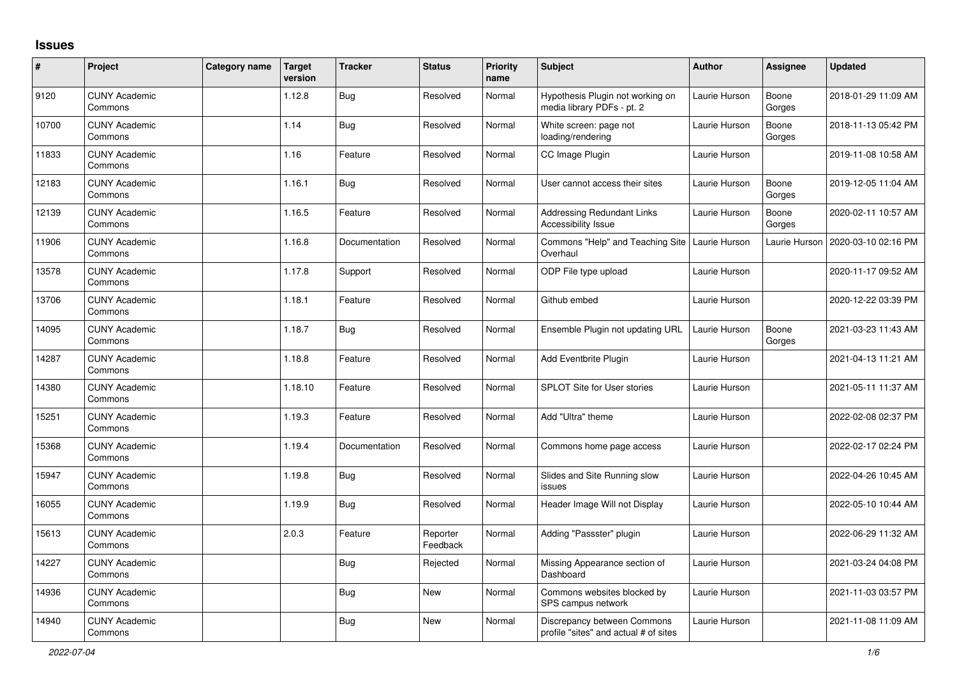## **Issues**

| $\vert$ # | Project                         | Category name | <b>Target</b><br>version | <b>Tracker</b> | <b>Status</b>        | <b>Priority</b><br>name | <b>Subject</b>                                                       | <b>Author</b> | Assignee        | <b>Updated</b>      |
|-----------|---------------------------------|---------------|--------------------------|----------------|----------------------|-------------------------|----------------------------------------------------------------------|---------------|-----------------|---------------------|
| 9120      | <b>CUNY Academic</b><br>Commons |               | 1.12.8                   | <b>Bug</b>     | Resolved             | Normal                  | Hypothesis Plugin not working on<br>media library PDFs - pt. 2       | Laurie Hurson | Boone<br>Gorges | 2018-01-29 11:09 AM |
| 10700     | <b>CUNY Academic</b><br>Commons |               | 1.14                     | <b>Bug</b>     | Resolved             | Normal                  | White screen: page not<br>loading/rendering                          | Laurie Hurson | Boone<br>Gorges | 2018-11-13 05:42 PM |
| 11833     | <b>CUNY Academic</b><br>Commons |               | 1.16                     | Feature        | Resolved             | Normal                  | CC Image Plugin                                                      | Laurie Hurson |                 | 2019-11-08 10:58 AM |
| 12183     | <b>CUNY Academic</b><br>Commons |               | 1.16.1                   | <b>Bug</b>     | Resolved             | Normal                  | User cannot access their sites                                       | Laurie Hurson | Boone<br>Gorges | 2019-12-05 11:04 AM |
| 12139     | <b>CUNY Academic</b><br>Commons |               | 1.16.5                   | Feature        | Resolved             | Normal                  | <b>Addressing Redundant Links</b><br>Accessibility Issue             | Laurie Hurson | Boone<br>Gorges | 2020-02-11 10:57 AM |
| 11906     | <b>CUNY Academic</b><br>Commons |               | 1.16.8                   | Documentation  | Resolved             | Normal                  | Commons "Help" and Teaching Site<br>Overhaul                         | Laurie Hurson | Laurie Hurson   | 2020-03-10 02:16 PM |
| 13578     | <b>CUNY Academic</b><br>Commons |               | 1.17.8                   | Support        | Resolved             | Normal                  | ODP File type upload                                                 | Laurie Hurson |                 | 2020-11-17 09:52 AM |
| 13706     | <b>CUNY Academic</b><br>Commons |               | 1.18.1                   | Feature        | Resolved             | Normal                  | Github embed                                                         | Laurie Hurson |                 | 2020-12-22 03:39 PM |
| 14095     | <b>CUNY Academic</b><br>Commons |               | 1.18.7                   | <b>Bug</b>     | Resolved             | Normal                  | Ensemble Plugin not updating URL                                     | Laurie Hurson | Boone<br>Gorges | 2021-03-23 11:43 AM |
| 14287     | <b>CUNY Academic</b><br>Commons |               | 1.18.8                   | Feature        | Resolved             | Normal                  | Add Eventbrite Plugin                                                | Laurie Hurson |                 | 2021-04-13 11:21 AM |
| 14380     | <b>CUNY Academic</b><br>Commons |               | 1.18.10                  | Feature        | Resolved             | Normal                  | <b>SPLOT Site for User stories</b>                                   | Laurie Hurson |                 | 2021-05-11 11:37 AM |
| 15251     | <b>CUNY Academic</b><br>Commons |               | 1.19.3                   | Feature        | Resolved             | Normal                  | Add "Ultra" theme                                                    | Laurie Hurson |                 | 2022-02-08 02:37 PM |
| 15368     | <b>CUNY Academic</b><br>Commons |               | 1.19.4                   | Documentation  | Resolved             | Normal                  | Commons home page access                                             | Laurie Hurson |                 | 2022-02-17 02:24 PM |
| 15947     | <b>CUNY Academic</b><br>Commons |               | 1.19.8                   | <b>Bug</b>     | Resolved             | Normal                  | Slides and Site Running slow<br>issues                               | Laurie Hurson |                 | 2022-04-26 10:45 AM |
| 16055     | <b>CUNY Academic</b><br>Commons |               | 1.19.9                   | <b>Bug</b>     | Resolved             | Normal                  | Header Image Will not Display                                        | Laurie Hurson |                 | 2022-05-10 10:44 AM |
| 15613     | <b>CUNY Academic</b><br>Commons |               | 2.0.3                    | Feature        | Reporter<br>Feedback | Normal                  | Adding "Passster" plugin                                             | Laurie Hurson |                 | 2022-06-29 11:32 AM |
| 14227     | <b>CUNY Academic</b><br>Commons |               |                          | <b>Bug</b>     | Rejected             | Normal                  | Missing Appearance section of<br>Dashboard                           | Laurie Hurson |                 | 2021-03-24 04:08 PM |
| 14936     | <b>CUNY Academic</b><br>Commons |               |                          | <b>Bug</b>     | New                  | Normal                  | Commons websites blocked by<br>SPS campus network                    | Laurie Hurson |                 | 2021-11-03 03:57 PM |
| 14940     | <b>CUNY Academic</b><br>Commons |               |                          | Bug            | New                  | Normal                  | Discrepancy between Commons<br>profile "sites" and actual # of sites | Laurie Hurson |                 | 2021-11-08 11:09 AM |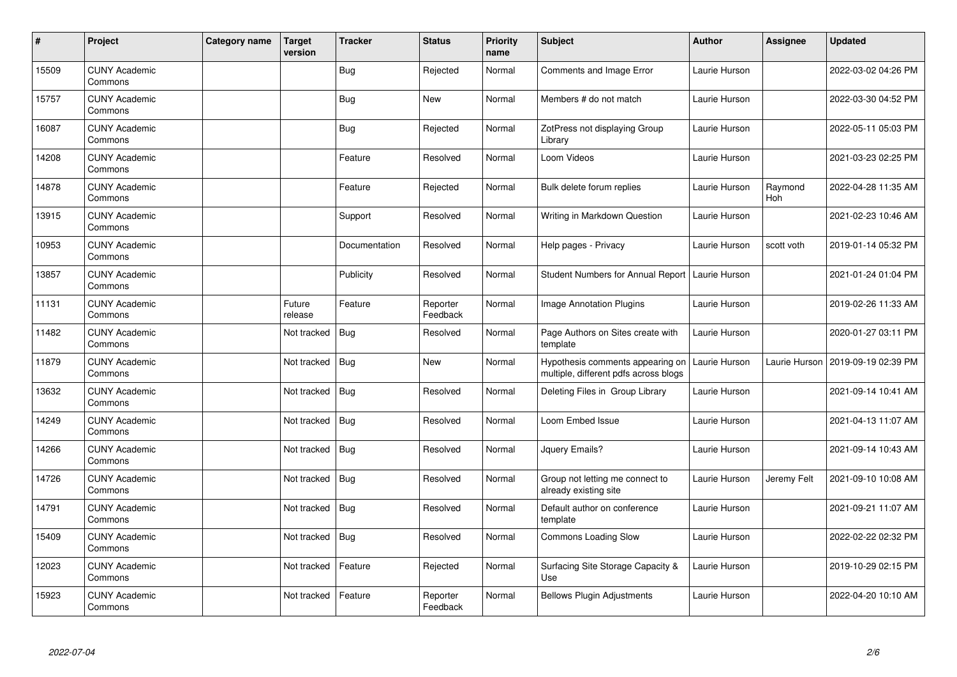| $\pmb{\#}$ | Project                         | Category name | <b>Target</b><br>version | <b>Tracker</b> | <b>Status</b>        | <b>Priority</b><br>name | <b>Subject</b>                                                            | <b>Author</b> | <b>Assignee</b> | <b>Updated</b>      |
|------------|---------------------------------|---------------|--------------------------|----------------|----------------------|-------------------------|---------------------------------------------------------------------------|---------------|-----------------|---------------------|
| 15509      | <b>CUNY Academic</b><br>Commons |               |                          | <b>Bug</b>     | Rejected             | Normal                  | <b>Comments and Image Error</b>                                           | Laurie Hurson |                 | 2022-03-02 04:26 PM |
| 15757      | <b>CUNY Academic</b><br>Commons |               |                          | Bug            | <b>New</b>           | Normal                  | Members # do not match                                                    | Laurie Hurson |                 | 2022-03-30 04:52 PM |
| 16087      | <b>CUNY Academic</b><br>Commons |               |                          | <b>Bug</b>     | Rejected             | Normal                  | ZotPress not displaying Group<br>Library                                  | Laurie Hurson |                 | 2022-05-11 05:03 PM |
| 14208      | <b>CUNY Academic</b><br>Commons |               |                          | Feature        | Resolved             | Normal                  | Loom Videos                                                               | Laurie Hurson |                 | 2021-03-23 02:25 PM |
| 14878      | <b>CUNY Academic</b><br>Commons |               |                          | Feature        | Rejected             | Normal                  | Bulk delete forum replies                                                 | Laurie Hurson | Raymond<br>Hoh  | 2022-04-28 11:35 AM |
| 13915      | <b>CUNY Academic</b><br>Commons |               |                          | Support        | Resolved             | Normal                  | Writing in Markdown Question                                              | Laurie Hurson |                 | 2021-02-23 10:46 AM |
| 10953      | <b>CUNY Academic</b><br>Commons |               |                          | Documentation  | Resolved             | Normal                  | Help pages - Privacy                                                      | Laurie Hurson | scott voth      | 2019-01-14 05:32 PM |
| 13857      | <b>CUNY Academic</b><br>Commons |               |                          | Publicity      | Resolved             | Normal                  | Student Numbers for Annual Report                                         | Laurie Hurson |                 | 2021-01-24 01:04 PM |
| 11131      | <b>CUNY Academic</b><br>Commons |               | Future<br>release        | Feature        | Reporter<br>Feedback | Normal                  | Image Annotation Plugins                                                  | Laurie Hurson |                 | 2019-02-26 11:33 AM |
| 11482      | <b>CUNY Academic</b><br>Commons |               | Not tracked              | <b>Bug</b>     | Resolved             | Normal                  | Page Authors on Sites create with<br>template                             | Laurie Hurson |                 | 2020-01-27 03:11 PM |
| 11879      | <b>CUNY Academic</b><br>Commons |               | Not tracked              | Bug            | <b>New</b>           | Normal                  | Hypothesis comments appearing on<br>multiple, different pdfs across blogs | Laurie Hurson | Laurie Hurson   | 2019-09-19 02:39 PM |
| 13632      | <b>CUNY Academic</b><br>Commons |               | Not tracked              | Bug            | Resolved             | Normal                  | Deleting Files in Group Library                                           | Laurie Hurson |                 | 2021-09-14 10:41 AM |
| 14249      | <b>CUNY Academic</b><br>Commons |               | Not tracked              | Bug            | Resolved             | Normal                  | Loom Embed Issue                                                          | Laurie Hurson |                 | 2021-04-13 11:07 AM |
| 14266      | <b>CUNY Academic</b><br>Commons |               | Not tracked              | <b>Bug</b>     | Resolved             | Normal                  | Jquery Emails?                                                            | Laurie Hurson |                 | 2021-09-14 10:43 AM |
| 14726      | <b>CUNY Academic</b><br>Commons |               | Not tracked              | Bug            | Resolved             | Normal                  | Group not letting me connect to<br>already existing site                  | Laurie Hurson | Jeremy Felt     | 2021-09-10 10:08 AM |
| 14791      | <b>CUNY Academic</b><br>Commons |               | Not tracked              | Bug            | Resolved             | Normal                  | Default author on conference<br>template                                  | Laurie Hurson |                 | 2021-09-21 11:07 AM |
| 15409      | <b>CUNY Academic</b><br>Commons |               | Not tracked              | Bug            | Resolved             | Normal                  | <b>Commons Loading Slow</b>                                               | Laurie Hurson |                 | 2022-02-22 02:32 PM |
| 12023      | <b>CUNY Academic</b><br>Commons |               | Not tracked              | Feature        | Rejected             | Normal                  | Surfacing Site Storage Capacity &<br>Use                                  | Laurie Hurson |                 | 2019-10-29 02:15 PM |
| 15923      | <b>CUNY Academic</b><br>Commons |               | Not tracked              | Feature        | Reporter<br>Feedback | Normal                  | <b>Bellows Plugin Adjustments</b>                                         | Laurie Hurson |                 | 2022-04-20 10:10 AM |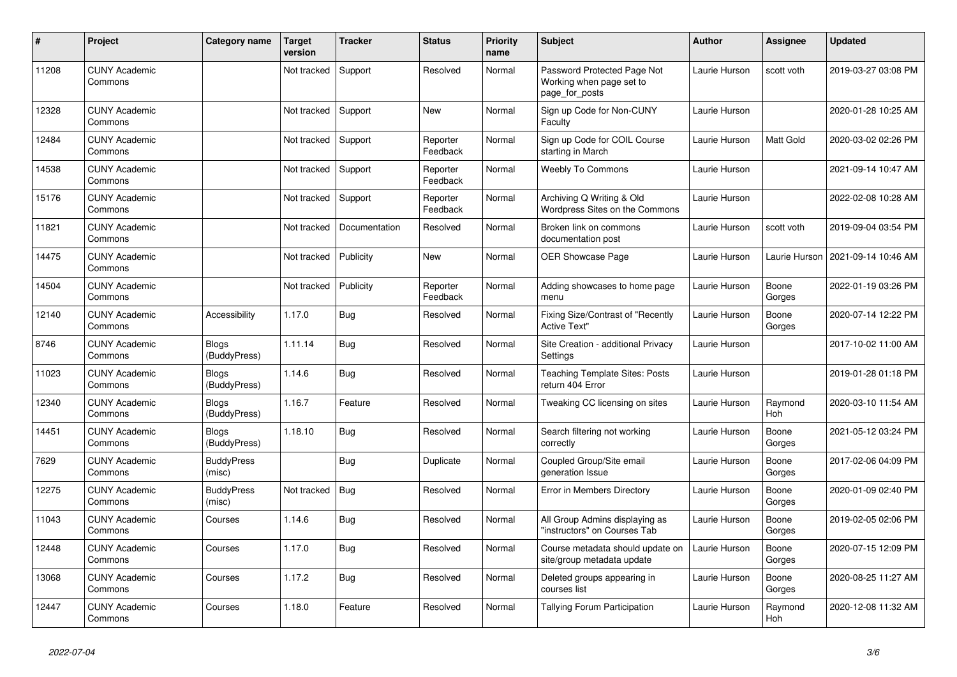| #     | Project                         | Category name                | <b>Target</b><br>version | <b>Tracker</b> | <b>Status</b>        | <b>Priority</b><br>name | <b>Subject</b>                                                            | <b>Author</b> | <b>Assignee</b>  | <b>Updated</b>      |
|-------|---------------------------------|------------------------------|--------------------------|----------------|----------------------|-------------------------|---------------------------------------------------------------------------|---------------|------------------|---------------------|
| 11208 | <b>CUNY Academic</b><br>Commons |                              | Not tracked              | Support        | Resolved             | Normal                  | Password Protected Page Not<br>Working when page set to<br>page_for_posts | Laurie Hurson | scott voth       | 2019-03-27 03:08 PM |
| 12328 | <b>CUNY Academic</b><br>Commons |                              | Not tracked              | Support        | New                  | Normal                  | Sign up Code for Non-CUNY<br>Faculty                                      | Laurie Hurson |                  | 2020-01-28 10:25 AM |
| 12484 | <b>CUNY Academic</b><br>Commons |                              | Not tracked              | Support        | Reporter<br>Feedback | Normal                  | Sign up Code for COIL Course<br>starting in March                         | Laurie Hurson | <b>Matt Gold</b> | 2020-03-02 02:26 PM |
| 14538 | <b>CUNY Academic</b><br>Commons |                              | Not tracked              | Support        | Reporter<br>Feedback | Normal                  | <b>Weebly To Commons</b>                                                  | Laurie Hurson |                  | 2021-09-14 10:47 AM |
| 15176 | <b>CUNY Academic</b><br>Commons |                              | Not tracked              | Support        | Reporter<br>Feedback | Normal                  | Archiving Q Writing & Old<br>Wordpress Sites on the Commons               | Laurie Hurson |                  | 2022-02-08 10:28 AM |
| 11821 | <b>CUNY Academic</b><br>Commons |                              | Not tracked              | Documentation  | Resolved             | Normal                  | Broken link on commons<br>documentation post                              | Laurie Hurson | scott voth       | 2019-09-04 03:54 PM |
| 14475 | <b>CUNY Academic</b><br>Commons |                              | Not tracked              | Publicity      | New                  | Normal                  | <b>OER Showcase Page</b>                                                  | Laurie Hurson | Laurie Hurson    | 2021-09-14 10:46 AM |
| 14504 | <b>CUNY Academic</b><br>Commons |                              | Not tracked              | Publicity      | Reporter<br>Feedback | Normal                  | Adding showcases to home page<br>menu                                     | Laurie Hurson | Boone<br>Gorges  | 2022-01-19 03:26 PM |
| 12140 | <b>CUNY Academic</b><br>Commons | Accessibility                | 1.17.0                   | <b>Bug</b>     | Resolved             | Normal                  | Fixing Size/Contrast of "Recently<br><b>Active Text"</b>                  | Laurie Hurson | Boone<br>Gorges  | 2020-07-14 12:22 PM |
| 8746  | <b>CUNY Academic</b><br>Commons | <b>Blogs</b><br>(BuddyPress) | 1.11.14                  | Bug            | Resolved             | Normal                  | Site Creation - additional Privacy<br>Settings                            | Laurie Hurson |                  | 2017-10-02 11:00 AM |
| 11023 | <b>CUNY Academic</b><br>Commons | <b>Blogs</b><br>(BuddyPress) | 1.14.6                   | <b>Bug</b>     | Resolved             | Normal                  | <b>Teaching Template Sites: Posts</b><br>return 404 Error                 | Laurie Hurson |                  | 2019-01-28 01:18 PM |
| 12340 | <b>CUNY Academic</b><br>Commons | <b>Blogs</b><br>(BuddyPress) | 1.16.7                   | Feature        | Resolved             | Normal                  | Tweaking CC licensing on sites                                            | Laurie Hurson | Raymond<br>Hoh   | 2020-03-10 11:54 AM |
| 14451 | <b>CUNY Academic</b><br>Commons | <b>Blogs</b><br>(BuddyPress) | 1.18.10                  | Bug            | Resolved             | Normal                  | Search filtering not working<br>correctly                                 | Laurie Hurson | Boone<br>Gorges  | 2021-05-12 03:24 PM |
| 7629  | <b>CUNY Academic</b><br>Commons | <b>BuddyPress</b><br>(misc)  |                          | <b>Bug</b>     | Duplicate            | Normal                  | Coupled Group/Site email<br>generation Issue                              | Laurie Hurson | Boone<br>Gorges  | 2017-02-06 04:09 PM |
| 12275 | <b>CUNY Academic</b><br>Commons | <b>BuddyPress</b><br>(misc)  | Not tracked              | Bug            | Resolved             | Normal                  | Error in Members Directory                                                | Laurie Hurson | Boone<br>Gorges  | 2020-01-09 02:40 PM |
| 11043 | <b>CUNY Academic</b><br>Commons | Courses                      | 1.14.6                   | Bug            | Resolved             | Normal                  | All Group Admins displaying as<br>"instructors" on Courses Tab            | Laurie Hurson | Boone<br>Gorges  | 2019-02-05 02:06 PM |
| 12448 | <b>CUNY Academic</b><br>Commons | Courses                      | 1.17.0                   | <b>Bug</b>     | Resolved             | Normal                  | Course metadata should update on<br>site/group metadata update            | Laurie Hurson | Boone<br>Gorges  | 2020-07-15 12:09 PM |
| 13068 | <b>CUNY Academic</b><br>Commons | Courses                      | 1.17.2                   | <b>Bug</b>     | Resolved             | Normal                  | Deleted groups appearing in<br>courses list                               | Laurie Hurson | Boone<br>Gorges  | 2020-08-25 11:27 AM |
| 12447 | <b>CUNY Academic</b><br>Commons | Courses                      | 1.18.0                   | Feature        | Resolved             | Normal                  | Tallying Forum Participation                                              | Laurie Hurson | Raymond<br>Hoh   | 2020-12-08 11:32 AM |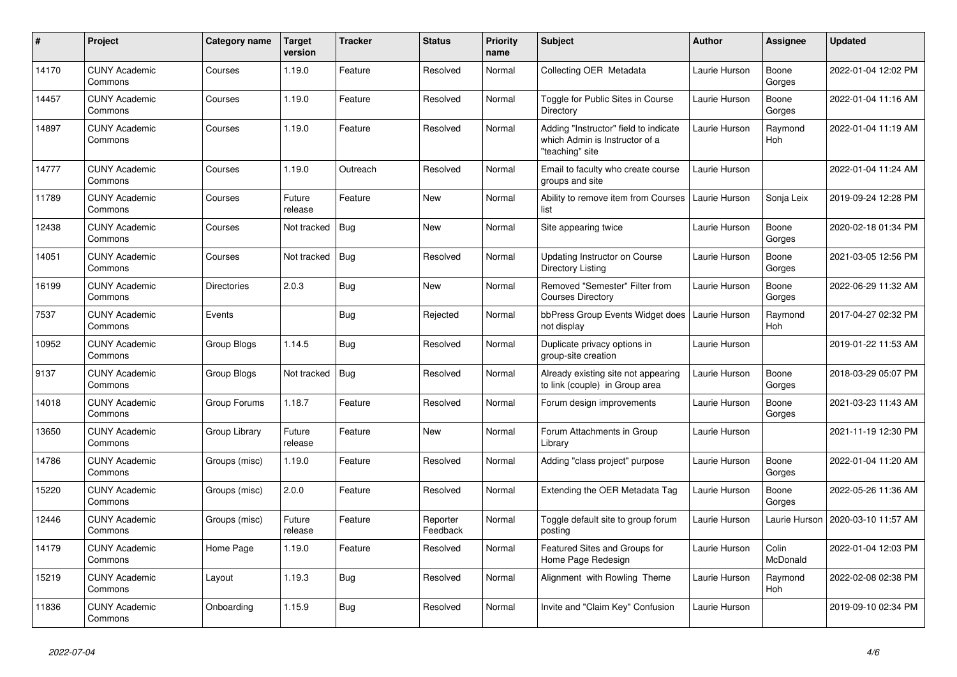| $\pmb{\#}$ | <b>Project</b>                  | Category name      | <b>Target</b><br>version | <b>Tracker</b> | <b>Status</b>        | <b>Priority</b><br>name | <b>Subject</b>                                                                             | <b>Author</b> | Assignee          | Updated             |
|------------|---------------------------------|--------------------|--------------------------|----------------|----------------------|-------------------------|--------------------------------------------------------------------------------------------|---------------|-------------------|---------------------|
| 14170      | <b>CUNY Academic</b><br>Commons | Courses            | 1.19.0                   | Feature        | Resolved             | Normal                  | Collecting OER Metadata                                                                    | Laurie Hurson | Boone<br>Gorges   | 2022-01-04 12:02 PM |
| 14457      | <b>CUNY Academic</b><br>Commons | Courses            | 1.19.0                   | Feature        | Resolved             | Normal                  | Toggle for Public Sites in Course<br>Directory                                             | Laurie Hurson | Boone<br>Gorges   | 2022-01-04 11:16 AM |
| 14897      | <b>CUNY Academic</b><br>Commons | Courses            | 1.19.0                   | Feature        | Resolved             | Normal                  | Adding "Instructor" field to indicate<br>which Admin is Instructor of a<br>"teaching" site | Laurie Hurson | Raymond<br>Hoh    | 2022-01-04 11:19 AM |
| 14777      | <b>CUNY Academic</b><br>Commons | Courses            | 1.19.0                   | Outreach       | Resolved             | Normal                  | Email to faculty who create course<br>groups and site                                      | Laurie Hurson |                   | 2022-01-04 11:24 AM |
| 11789      | <b>CUNY Academic</b><br>Commons | Courses            | Future<br>release        | Feature        | <b>New</b>           | Normal                  | Ability to remove item from Courses<br>list                                                | Laurie Hurson | Sonja Leix        | 2019-09-24 12:28 PM |
| 12438      | <b>CUNY Academic</b><br>Commons | Courses            | Not tracked              | <b>Bug</b>     | New                  | Normal                  | Site appearing twice                                                                       | Laurie Hurson | Boone<br>Gorges   | 2020-02-18 01:34 PM |
| 14051      | <b>CUNY Academic</b><br>Commons | Courses            | Not tracked              | <b>Bug</b>     | Resolved             | Normal                  | <b>Updating Instructor on Course</b><br>Directory Listing                                  | Laurie Hurson | Boone<br>Gorges   | 2021-03-05 12:56 PM |
| 16199      | <b>CUNY Academic</b><br>Commons | <b>Directories</b> | 2.0.3                    | Bug            | <b>New</b>           | Normal                  | Removed "Semester" Filter from<br><b>Courses Directory</b>                                 | Laurie Hurson | Boone<br>Gorges   | 2022-06-29 11:32 AM |
| 7537       | <b>CUNY Academic</b><br>Commons | Events             |                          | Bug            | Rejected             | Normal                  | bbPress Group Events Widget does<br>not display                                            | Laurie Hurson | Raymond<br>Hoh    | 2017-04-27 02:32 PM |
| 10952      | <b>CUNY Academic</b><br>Commons | Group Blogs        | 1.14.5                   | <b>Bug</b>     | Resolved             | Normal                  | Duplicate privacy options in<br>group-site creation                                        | Laurie Hurson |                   | 2019-01-22 11:53 AM |
| 9137       | <b>CUNY Academic</b><br>Commons | Group Blogs        | Not tracked              | Bug            | Resolved             | Normal                  | Already existing site not appearing<br>to link (couple) in Group area                      | Laurie Hurson | Boone<br>Gorges   | 2018-03-29 05:07 PM |
| 14018      | <b>CUNY Academic</b><br>Commons | Group Forums       | 1.18.7                   | Feature        | Resolved             | Normal                  | Forum design improvements                                                                  | Laurie Hurson | Boone<br>Gorges   | 2021-03-23 11:43 AM |
| 13650      | <b>CUNY Academic</b><br>Commons | Group Library      | Future<br>release        | Feature        | New                  | Normal                  | Forum Attachments in Group<br>Library                                                      | Laurie Hurson |                   | 2021-11-19 12:30 PM |
| 14786      | <b>CUNY Academic</b><br>Commons | Groups (misc)      | 1.19.0                   | Feature        | Resolved             | Normal                  | Adding "class project" purpose                                                             | Laurie Hurson | Boone<br>Gorges   | 2022-01-04 11:20 AM |
| 15220      | <b>CUNY Academic</b><br>Commons | Groups (misc)      | 2.0.0                    | Feature        | Resolved             | Normal                  | Extending the OER Metadata Tag                                                             | Laurie Hurson | Boone<br>Gorges   | 2022-05-26 11:36 AM |
| 12446      | <b>CUNY Academic</b><br>Commons | Groups (misc)      | Future<br>release        | Feature        | Reporter<br>Feedback | Normal                  | Toggle default site to group forum<br>posting                                              | Laurie Hurson | Laurie Hurson     | 2020-03-10 11:57 AM |
| 14179      | <b>CUNY Academic</b><br>Commons | Home Page          | 1.19.0                   | Feature        | Resolved             | Normal                  | Featured Sites and Groups for<br>Home Page Redesign                                        | Laurie Hurson | Colin<br>McDonald | 2022-01-04 12:03 PM |
| 15219      | <b>CUNY Academic</b><br>Commons | Layout             | 1.19.3                   | Bug            | Resolved             | Normal                  | Alignment with Rowling Theme                                                               | Laurie Hurson | Raymond<br>Hoh    | 2022-02-08 02:38 PM |
| 11836      | <b>CUNY Academic</b><br>Commons | Onboarding         | 1.15.9                   | Bug            | Resolved             | Normal                  | Invite and "Claim Key" Confusion                                                           | Laurie Hurson |                   | 2019-09-10 02:34 PM |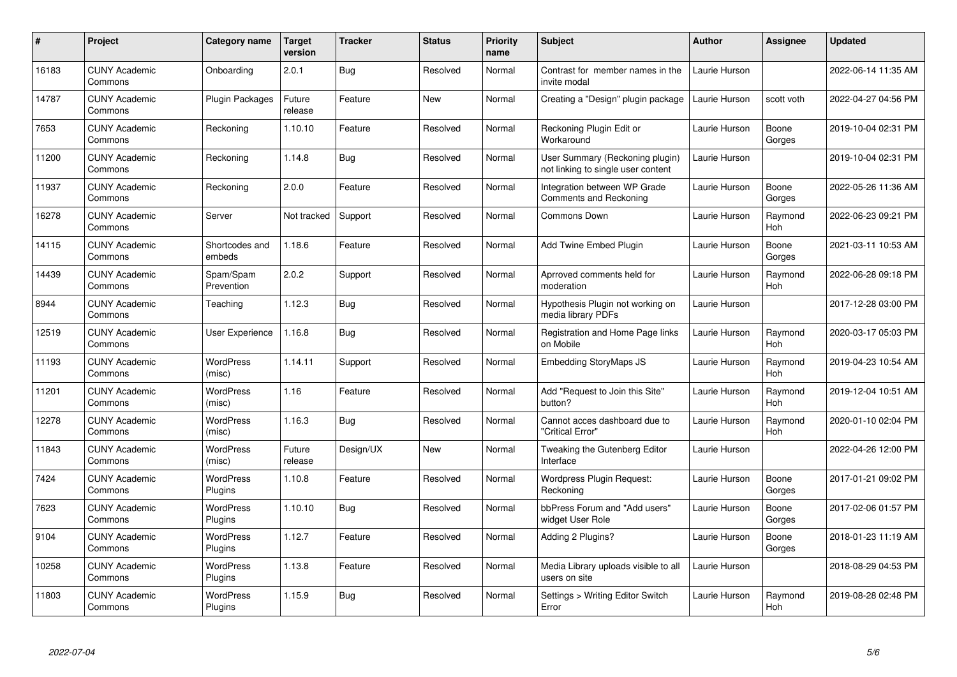| $\pmb{\#}$ | Project                         | Category name              | Target<br>version | <b>Tracker</b> | <b>Status</b> | <b>Priority</b><br>name | <b>Subject</b>                                                        | <b>Author</b> | <b>Assignee</b>       | <b>Updated</b>      |
|------------|---------------------------------|----------------------------|-------------------|----------------|---------------|-------------------------|-----------------------------------------------------------------------|---------------|-----------------------|---------------------|
| 16183      | <b>CUNY Academic</b><br>Commons | Onboarding                 | 2.0.1             | Bug            | Resolved      | Normal                  | Contrast for member names in the<br>invite modal                      | Laurie Hurson |                       | 2022-06-14 11:35 AM |
| 14787      | <b>CUNY Academic</b><br>Commons | <b>Plugin Packages</b>     | Future<br>release | Feature        | <b>New</b>    | Normal                  | Creating a "Design" plugin package                                    | Laurie Hurson | scott voth            | 2022-04-27 04:56 PM |
| 7653       | <b>CUNY Academic</b><br>Commons | Reckoning                  | 1.10.10           | Feature        | Resolved      | Normal                  | Reckoning Plugin Edit or<br>Workaround                                | Laurie Hurson | Boone<br>Gorges       | 2019-10-04 02:31 PM |
| 11200      | <b>CUNY Academic</b><br>Commons | Reckoning                  | 1.14.8            | Bug            | Resolved      | Normal                  | User Summary (Reckoning plugin)<br>not linking to single user content | Laurie Hurson |                       | 2019-10-04 02:31 PM |
| 11937      | <b>CUNY Academic</b><br>Commons | Reckoning                  | 2.0.0             | Feature        | Resolved      | Normal                  | Integration between WP Grade<br>Comments and Reckoning                | Laurie Hurson | Boone<br>Gorges       | 2022-05-26 11:36 AM |
| 16278      | <b>CUNY Academic</b><br>Commons | Server                     | Not tracked       | Support        | Resolved      | Normal                  | Commons Down                                                          | Laurie Hurson | Raymond<br><b>Hoh</b> | 2022-06-23 09:21 PM |
| 14115      | <b>CUNY Academic</b><br>Commons | Shortcodes and<br>embeds   | 1.18.6            | Feature        | Resolved      | Normal                  | Add Twine Embed Plugin                                                | Laurie Hurson | Boone<br>Gorges       | 2021-03-11 10:53 AM |
| 14439      | <b>CUNY Academic</b><br>Commons | Spam/Spam<br>Prevention    | 2.0.2             | Support        | Resolved      | Normal                  | Aprroved comments held for<br>moderation                              | Laurie Hurson | Raymond<br>Hoh        | 2022-06-28 09:18 PM |
| 8944       | <b>CUNY Academic</b><br>Commons | Teaching                   | 1.12.3            | Bug            | Resolved      | Normal                  | Hypothesis Plugin not working on<br>media library PDFs                | Laurie Hurson |                       | 2017-12-28 03:00 PM |
| 12519      | <b>CUNY Academic</b><br>Commons | User Experience            | 1.16.8            | <b>Bug</b>     | Resolved      | Normal                  | Registration and Home Page links<br>on Mobile                         | Laurie Hurson | Raymond<br>Hoh        | 2020-03-17 05:03 PM |
| 11193      | <b>CUNY Academic</b><br>Commons | WordPress<br>(misc)        | 1.14.11           | Support        | Resolved      | Normal                  | Embedding StoryMaps JS                                                | Laurie Hurson | Raymond<br>Hoh        | 2019-04-23 10:54 AM |
| 11201      | <b>CUNY Academic</b><br>Commons | <b>WordPress</b><br>(misc) | 1.16              | Feature        | Resolved      | Normal                  | Add "Request to Join this Site"<br>button?                            | Laurie Hurson | Raymond<br>Hoh        | 2019-12-04 10:51 AM |
| 12278      | <b>CUNY Academic</b><br>Commons | <b>WordPress</b><br>(misc) | 1.16.3            | <b>Bug</b>     | Resolved      | Normal                  | Cannot acces dashboard due to<br>'Critical Error"                     | Laurie Hurson | Raymond<br>Hoh        | 2020-01-10 02:04 PM |
| 11843      | <b>CUNY Academic</b><br>Commons | <b>WordPress</b><br>(misc) | Future<br>release | Design/UX      | <b>New</b>    | Normal                  | Tweaking the Gutenberg Editor<br>Interface                            | Laurie Hurson |                       | 2022-04-26 12:00 PM |
| 7424       | <b>CUNY Academic</b><br>Commons | WordPress<br>Plugins       | 1.10.8            | Feature        | Resolved      | Normal                  | Wordpress Plugin Request:<br>Reckoning                                | Laurie Hurson | Boone<br>Gorges       | 2017-01-21 09:02 PM |
| 7623       | <b>CUNY Academic</b><br>Commons | WordPress<br>Plugins       | 1.10.10           | <b>Bug</b>     | Resolved      | Normal                  | bbPress Forum and "Add users"<br>widget User Role                     | Laurie Hurson | Boone<br>Gorges       | 2017-02-06 01:57 PM |
| 9104       | <b>CUNY Academic</b><br>Commons | WordPress<br>Plugins       | 1.12.7            | Feature        | Resolved      | Normal                  | Adding 2 Plugins?                                                     | Laurie Hurson | Boone<br>Gorges       | 2018-01-23 11:19 AM |
| 10258      | <b>CUNY Academic</b><br>Commons | WordPress<br>Plugins       | 1.13.8            | Feature        | Resolved      | Normal                  | Media Library uploads visible to all<br>users on site                 | Laurie Hurson |                       | 2018-08-29 04:53 PM |
| 11803      | <b>CUNY Academic</b><br>Commons | WordPress<br>Plugins       | 1.15.9            | <b>Bug</b>     | Resolved      | Normal                  | Settings > Writing Editor Switch<br>Error                             | Laurie Hurson | Raymond<br>Hoh        | 2019-08-28 02:48 PM |